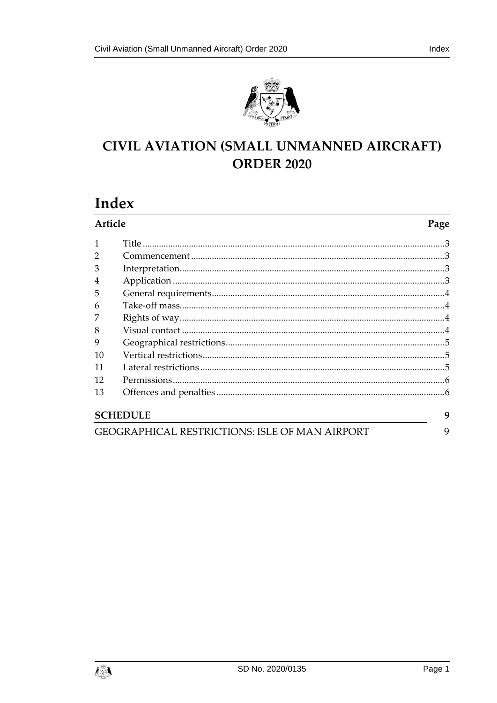

## **CIVIL AVIATION (SMALL UNMANNED AIRCRAFT) ORDER 2020**

# Index

| Article                                               |  | Page |
|-------------------------------------------------------|--|------|
|                                                       |  |      |
|                                                       |  |      |
| 3                                                     |  |      |
| $\overline{4}$                                        |  |      |
| 5                                                     |  |      |
| 6                                                     |  |      |
|                                                       |  |      |
| 8                                                     |  |      |
| 9                                                     |  |      |
| 10                                                    |  |      |
| 11                                                    |  |      |
| 12                                                    |  |      |
| 13                                                    |  |      |
| <b>SCHEDULE</b>                                       |  | 9    |
| <b>GEOGRAPHICAL RESTRICTIONS: ISLE OF MAN AIRPORT</b> |  | 9    |

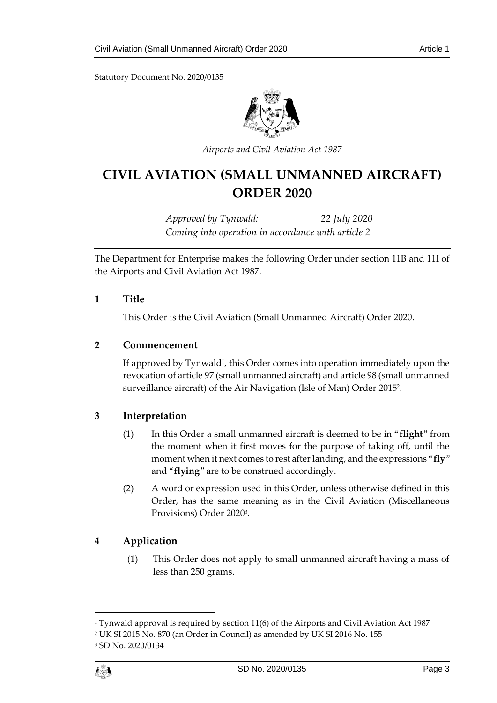Statutory Document No. 2020/0135



*Airports and Civil Aviation Act 1987*

## **CIVIL AVIATION (SMALL UNMANNED AIRCRAFT) ORDER 2020**

*Approved by Tynwald: 22 July 2020 Coming into operation in accordance with article 2*

The Department for Enterprise makes the following Order under section 11B and 11I of the Airports and Civil Aviation Act 1987.

#### <span id="page-2-0"></span>**1 Title**

This Order is the Civil Aviation (Small Unmanned Aircraft) Order 2020.

#### <span id="page-2-1"></span>**2 Commencement**

If approved by Tynwald<sup>1</sup>, this Order comes into operation immediately upon the revocation of article 97 (small unmanned aircraft) and article 98 (small unmanned surveillance aircraft) of the Air Navigation (Isle of Man) Order 2015<sup>2</sup> .

#### <span id="page-2-2"></span>**3 Interpretation**

- (1) In this Order a small unmanned aircraft is deemed to be in "**flight**" from the moment when it first moves for the purpose of taking off, until the moment when it next comes to rest after landing, and the expressions "**fly**" and "**flying**" are to be construed accordingly.
- (2) A word or expression used in this Order, unless otherwise defined in this Order, has the same meaning as in the Civil Aviation (Miscellaneous Provisions) Order 2020<sup>3</sup> .

#### <span id="page-2-3"></span>**4 Application**

(1) This Order does not apply to small unmanned aircraft having a mass of less than 250 grams.

1

<sup>1</sup> Tynwald approval is required by section 11(6) of the Airports and Civil Aviation Act 1987

<sup>2</sup> UK SI 2015 No. 870 (an Order in Council) as amended by UK SI 2016 No. 155

<sup>3</sup> SD No. 2020/0134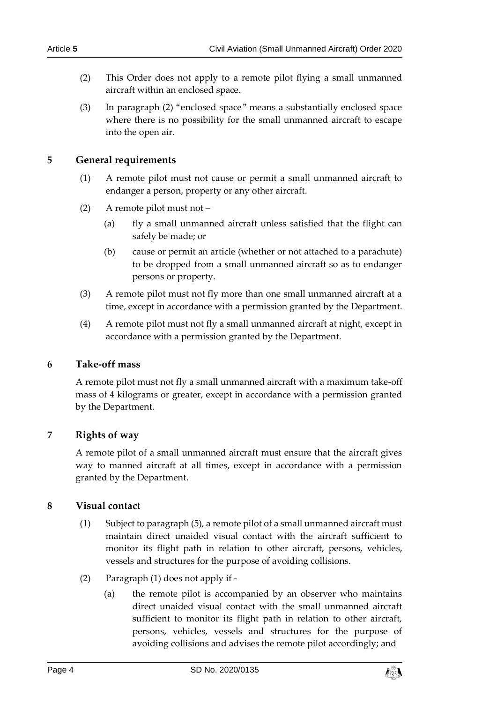- (2) This Order does not apply to a remote pilot flying a small unmanned aircraft within an enclosed space.
- (3) In paragraph (2) "enclosed space" means a substantially enclosed space where there is no possibility for the small unmanned aircraft to escape into the open air.

### <span id="page-3-0"></span>**5 General requirements**

- (1) A remote pilot must not cause or permit a small unmanned aircraft to endanger a person, property or any other aircraft.
- (2) A remote pilot must not
	- (a) fly a small unmanned aircraft unless satisfied that the flight can safely be made; or
	- (b) cause or permit an article (whether or not attached to a parachute) to be dropped from a small unmanned aircraft so as to endanger persons or property.
- (3) A remote pilot must not fly more than one small unmanned aircraft at a time, except in accordance with a permission granted by the Department.
- (4) A remote pilot must not fly a small unmanned aircraft at night, except in accordance with a permission granted by the Department.

#### <span id="page-3-1"></span>**6 Take-off mass**

A remote pilot must not fly a small unmanned aircraft with a maximum take-off mass of 4 kilograms or greater, except in accordance with a permission granted by the Department.

#### <span id="page-3-2"></span>**7 Rights of way**

A remote pilot of a small unmanned aircraft must ensure that the aircraft gives way to manned aircraft at all times, except in accordance with a permission granted by the Department.

#### <span id="page-3-3"></span>**8 Visual contact**

- (1) Subject to paragraph (5), a remote pilot of a small unmanned aircraft must maintain direct unaided visual contact with the aircraft sufficient to monitor its flight path in relation to other aircraft, persons, vehicles, vessels and structures for the purpose of avoiding collisions.
- (2) Paragraph (1) does not apply if
	- (a) the remote pilot is accompanied by an observer who maintains direct unaided visual contact with the small unmanned aircraft sufficient to monitor its flight path in relation to other aircraft, persons, vehicles, vessels and structures for the purpose of avoiding collisions and advises the remote pilot accordingly; and

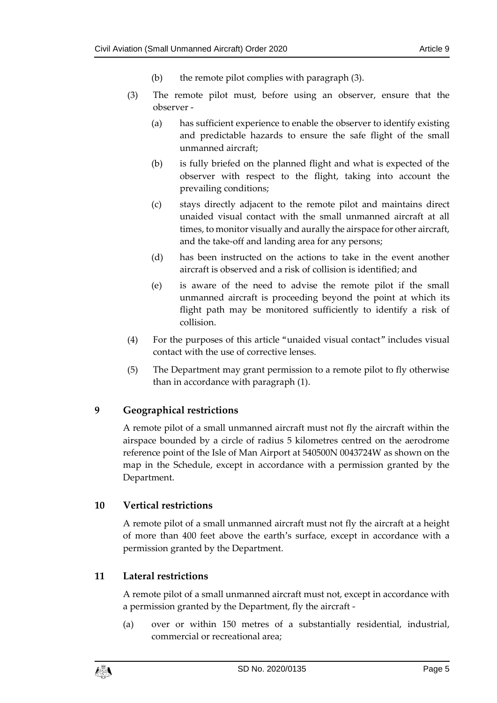- (b) the remote pilot complies with paragraph (3).
- (3) The remote pilot must, before using an observer, ensure that the observer -
	- (a) has sufficient experience to enable the observer to identify existing and predictable hazards to ensure the safe flight of the small unmanned aircraft;
	- (b) is fully briefed on the planned flight and what is expected of the observer with respect to the flight, taking into account the prevailing conditions;
	- (c) stays directly adjacent to the remote pilot and maintains direct unaided visual contact with the small unmanned aircraft at all times, to monitor visually and aurally the airspace for other aircraft, and the take-off and landing area for any persons;
	- (d) has been instructed on the actions to take in the event another aircraft is observed and a risk of collision is identified; and
	- (e) is aware of the need to advise the remote pilot if the small unmanned aircraft is proceeding beyond the point at which its flight path may be monitored sufficiently to identify a risk of collision.
- (4) For the purposes of this article "unaided visual contact" includes visual contact with the use of corrective lenses.
- (5) The Department may grant permission to a remote pilot to fly otherwise than in accordance with paragraph (1).

## <span id="page-4-0"></span>**9 Geographical restrictions**

A remote pilot of a small unmanned aircraft must not fly the aircraft within the airspace bounded by a circle of radius 5 kilometres centred on the aerodrome reference point of the Isle of Man Airport at 540500N 0043724W as shown on the map in the Schedule, except in accordance with a permission granted by the Department.

## <span id="page-4-1"></span>**10 Vertical restrictions**

A remote pilot of a small unmanned aircraft must not fly the aircraft at a height of more than 400 feet above the earth's surface, except in accordance with a permission granted by the Department.

## <span id="page-4-2"></span>**11 Lateral restrictions**

A remote pilot of a small unmanned aircraft must not, except in accordance with a permission granted by the Department, fly the aircraft -

(a) over or within 150 metres of a substantially residential, industrial, commercial or recreational area;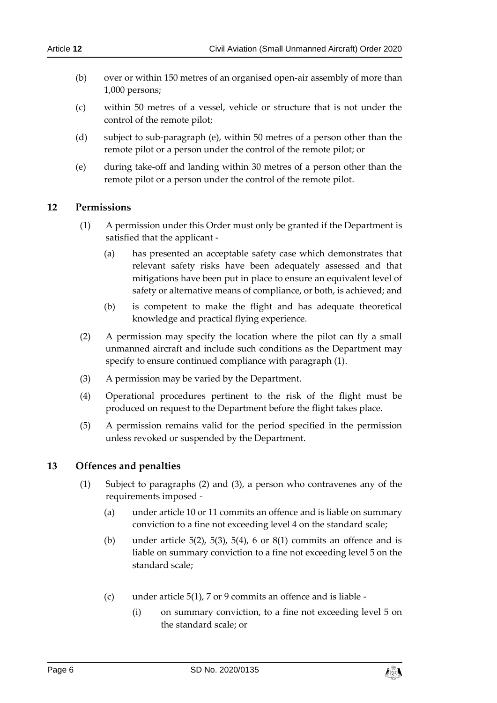- (b) over or within 150 metres of an organised open-air assembly of more than 1,000 persons;
- (c) within 50 metres of a vessel, vehicle or structure that is not under the control of the remote pilot;
- (d) subject to sub-paragraph (e), within 50 metres of a person other than the remote pilot or a person under the control of the remote pilot; or
- (e) during take-off and landing within 30 metres of a person other than the remote pilot or a person under the control of the remote pilot.

#### <span id="page-5-0"></span>**12 Permissions**

- (1) A permission under this Order must only be granted if the Department is satisfied that the applicant -
	- (a) has presented an acceptable safety case which demonstrates that relevant safety risks have been adequately assessed and that mitigations have been put in place to ensure an equivalent level of safety or alternative means of compliance, or both, is achieved; and
	- (b) is competent to make the flight and has adequate theoretical knowledge and practical flying experience.
- (2) A permission may specify the location where the pilot can fly a small unmanned aircraft and include such conditions as the Department may specify to ensure continued compliance with paragraph (1).
- (3) A permission may be varied by the Department.
- (4) Operational procedures pertinent to the risk of the flight must be produced on request to the Department before the flight takes place.
- (5) A permission remains valid for the period specified in the permission unless revoked or suspended by the Department.

#### <span id="page-5-1"></span>**13 Offences and penalties**

- (1) Subject to paragraphs (2) and (3), a person who contravenes any of the requirements imposed -
	- (a) under article 10 or 11 commits an offence and is liable on summary conviction to a fine not exceeding level 4 on the standard scale;
	- (b) under article 5(2), 5(3), 5(4), 6 or 8(1) commits an offence and is liable on summary conviction to a fine not exceeding level 5 on the standard scale;
	- (c) under article 5(1), 7 or 9 commits an offence and is liable
		- (i) on summary conviction, to a fine not exceeding level 5 on the standard scale; or

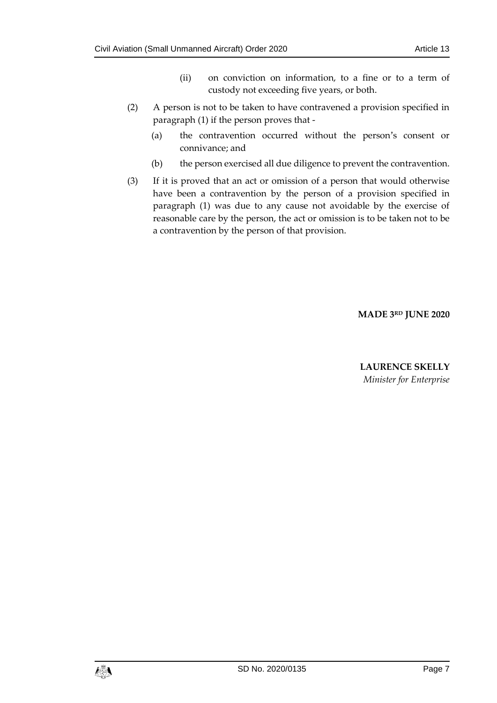- (ii) on conviction on information, to a fine or to a term of custody not exceeding five years, or both.
- (2) A person is not to be taken to have contravened a provision specified in paragraph (1) if the person proves that -
	- (a) the contravention occurred without the person's consent or connivance; and
	- (b) the person exercised all due diligence to prevent the contravention.
- (3) If it is proved that an act or omission of a person that would otherwise have been a contravention by the person of a provision specified in paragraph (1) was due to any cause not avoidable by the exercise of reasonable care by the person, the act or omission is to be taken not to be a contravention by the person of that provision.

**MADE 3 RD JUNE 2020**

**LAURENCE SKELLY** *Minister for Enterprise*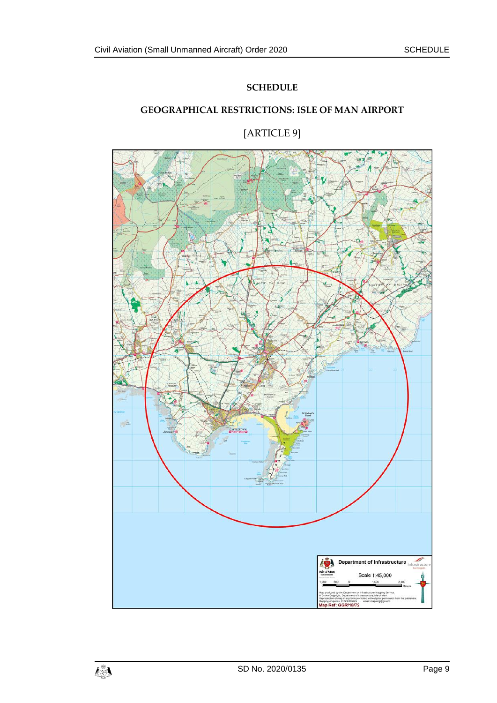#### **SCHEDULE**

## <span id="page-8-0"></span>**GEOGRAPHICAL RESTRICTIONS: ISLE OF MAN AIRPORT**



<span id="page-8-1"></span>